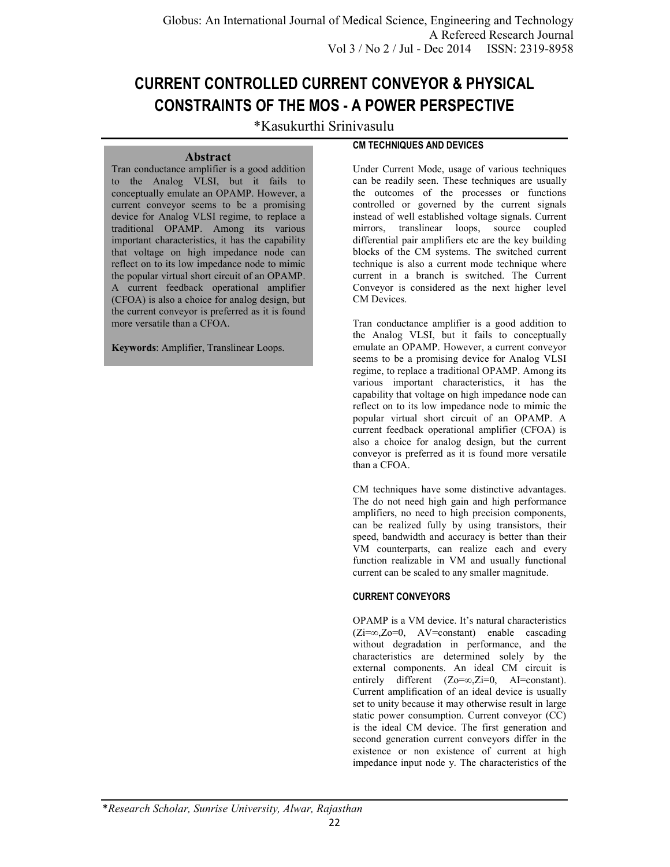# **CURRENT CONTROLLED CURRENT CONVEYOR & PHYSICAL CONSTRAINTS OF THE MOS - A POWER PERSPECTIVE**

\*Kasukurthi Srinivasulu

## **Abstract**

Tran conductance amplifier is a good addition to the Analog VLSI, but it fails to conceptually emulate an OPAMP. However, a current conveyor seems to be a promising device for Analog VLSI regime, to replace a traditional OPAMP. Among its various important characteristics, it has the capability that voltage on high impedance node can reflect on to its low impedance node to mimic the popular virtual short circuit of an OPAMP. A current feedback operational amplifier (CFOA) is also a choice for analog design, but the current conveyor is preferred as it is found more versatile than a CFOA.

**Keywords**: Amplifier, Translinear Loops.

# **CM TECHNIQUES AND DEVICES**

Under Current Mode, usage of various techniques can be readily seen. These techniques are usually the outcomes of the processes or functions controlled or governed by the current signals instead of well established voltage signals. Current mirrors, translinear loops, source coupled differential pair amplifiers etc are the key building blocks of the CM systems. The switched current technique is also a current mode technique where current in a branch is switched. The Current Conveyor is considered as the next higher level CM Devices.

Tran conductance amplifier is a good addition to the Analog VLSI, but it fails to conceptually emulate an OPAMP. However, a current conveyor seems to be a promising device for Analog VLSI regime, to replace a traditional OPAMP. Among its various important characteristics, it has the capability that voltage on high impedance node can reflect on to its low impedance node to mimic the popular virtual short circuit of an OPAMP. A current feedback operational amplifier (CFOA) is also a choice for analog design, but the current conveyor is preferred as it is found more versatile than a CFOA.

CM techniques have some distinctive advantages. The do not need high gain and high performance amplifiers, no need to high precision components, can be realized fully by using transistors, their speed, bandwidth and accuracy is better than their VM counterparts, can realize each and every function realizable in VM and usually functional current can be scaled to any smaller magnitude.

## **CURRENT CONVEYORS**

OPAMP is a VM device. It's natural characteristics (Zi=∞,Zo=0, AV=constant) enable cascading without degradation in performance, and the characteristics are determined solely by the external components. An ideal CM circuit is entirely different  $(Z_0=\infty, Z_i=0,$  AI=constant). Current amplification of an ideal device is usually set to unity because it may otherwise result in large static power consumption. Current conveyor (CC) is the ideal CM device. The first generation and second generation current conveyors differ in the existence or non existence of current at high impedance input node y. The characteristics of the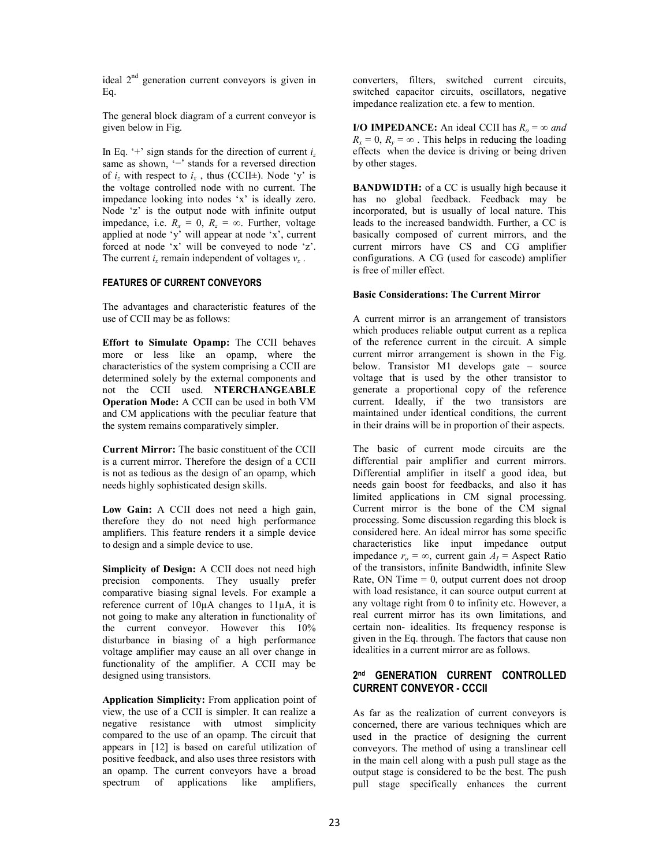ideal  $2<sup>nd</sup>$  generation current conveyors is given in Eq.

The general block diagram of a current conveyor is given below in Fig.

In Eq. '+' sign stands for the direction of current  $i_z$ same as shown, '−' stands for a reversed direction of  $i_z$  with respect to  $i_x$ , thus (CCII±). Node 'y' is the voltage controlled node with no current. The impedance looking into nodes 'x' is ideally zero. Node 'z' is the output node with infinite output impedance, i.e.  $R_x = 0$ ,  $R_z = \infty$ . Further, voltage applied at node 'y' will appear at node 'x', current forced at node 'x' will be conveyed to node 'z'. The current  $i_x$  remain independent of voltages  $v_x$ .

## **FEATURES OF CURRENT CONVEYORS**

The advantages and characteristic features of the use of CCII may be as follows:

**Effort to Simulate Opamp:** The CCII behaves more or less like an opamp, where the characteristics of the system comprising a CCII are determined solely by the external components and not the CCII used. **NTERCHANGEABLE Operation Mode:** A CCII can be used in both VM and CM applications with the peculiar feature that the system remains comparatively simpler.

**Current Mirror:** The basic constituent of the CCII is a current mirror. Therefore the design of a CCII is not as tedious as the design of an opamp, which needs highly sophisticated design skills.

**Low Gain:** A CCII does not need a high gain, therefore they do not need high performance amplifiers. This feature renders it a simple device to design and a simple device to use.

**Simplicity of Design:** A CCII does not need high precision components. They usually prefer comparative biasing signal levels. For example a reference current of 10µA changes to 11µA, it is not going to make any alteration in functionality of the current conveyor. However this 10% disturbance in biasing of a high performance voltage amplifier may cause an all over change in functionality of the amplifier. A CCII may be designed using transistors.

**Application Simplicity:** From application point of view, the use of a CCII is simpler. It can realize a negative resistance with utmost simplicity compared to the use of an opamp. The circuit that appears in [12] is based on careful utilization of positive feedback, and also uses three resistors with an opamp. The current conveyors have a broad spectrum of applications like amplifiers,

converters, filters, switched current circuits, switched capacitor circuits, oscillators, negative impedance realization etc. a few to mention.

**I/O IMPEDANCE:** An ideal CCII has  $R_o = \infty$  and  $R_x = 0$ ,  $R_y = \infty$ . This helps in reducing the loading effects when the device is driving or being driven by other stages.

**BANDWIDTH:** of a CC is usually high because it has no global feedback. Feedback may be incorporated, but is usually of local nature. This leads to the increased bandwidth. Further, a CC is basically composed of current mirrors, and the current mirrors have CS and CG amplifier configurations. A CG (used for cascode) amplifier is free of miller effect.

## **Basic Considerations: The Current Mirror**

A current mirror is an arrangement of transistors which produces reliable output current as a replica of the reference current in the circuit. A simple current mirror arrangement is shown in the Fig. below. Transistor M1 develops gate – source voltage that is used by the other transistor to generate a proportional copy of the reference current. Ideally, if the two transistors are maintained under identical conditions, the current in their drains will be in proportion of their aspects.

The basic of current mode circuits are the differential pair amplifier and current mirrors. Differential amplifier in itself a good idea, but needs gain boost for feedbacks, and also it has limited applications in CM signal processing. Current mirror is the bone of the CM signal processing. Some discussion regarding this block is considered here. An ideal mirror has some specific characteristics like input impedance output impedance  $r_o = \infty$ , current gain  $A_I$  = Aspect Ratio of the transistors, infinite Bandwidth, infinite Slew Rate, ON Time  $= 0$ , output current does not droop with load resistance, it can source output current at any voltage right from 0 to infinity etc. However, a real current mirror has its own limitations, and certain non- idealities. Its frequency response is given in the Eq. through. The factors that cause non idealities in a current mirror are as follows.

## **2 nd GENERATION CURRENT CONTROLLED CURRENT CONVEYOR - CCCII**

As far as the realization of current conveyors is concerned, there are various techniques which are used in the practice of designing the current conveyors. The method of using a translinear cell in the main cell along with a push pull stage as the output stage is considered to be the best. The push pull stage specifically enhances the current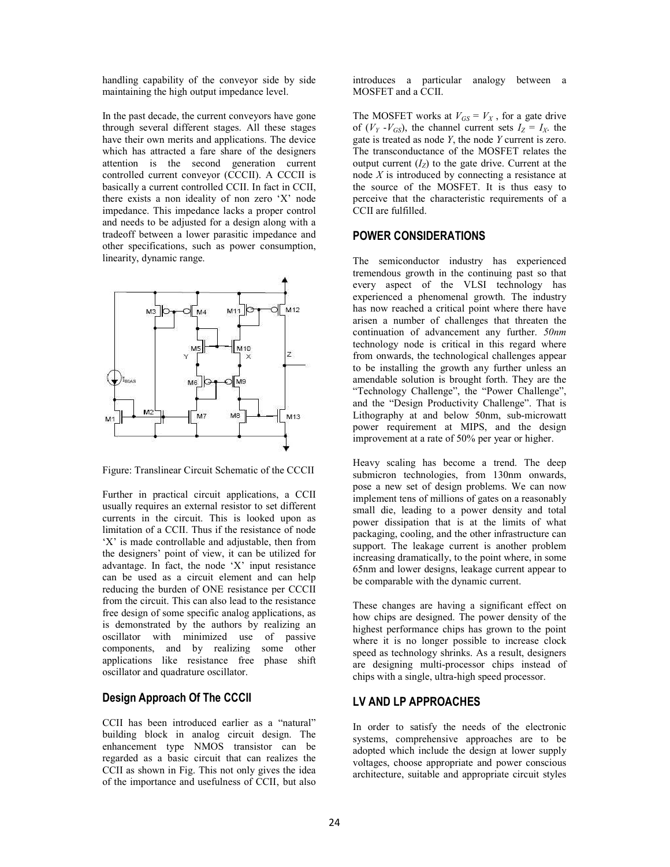handling capability of the conveyor side by side maintaining the high output impedance level.

In the past decade, the current conveyors have gone through several different stages. All these stages have their own merits and applications. The device which has attracted a fare share of the designers attention is the second generation current controlled current conveyor (CCCII). A CCCII is basically a current controlled CCII. In fact in CCII, there exists a non ideality of non zero 'X' node impedance. This impedance lacks a proper control and needs to be adjusted for a design along with a tradeoff between a lower parasitic impedance and other specifications, such as power consumption, linearity, dynamic range.



Figure: Translinear Circuit Schematic of the CCCII

Further in practical circuit applications, a CCII usually requires an external resistor to set different currents in the circuit. This is looked upon as limitation of a CCII. Thus if the resistance of node 'X' is made controllable and adjustable, then from the designers' point of view, it can be utilized for advantage. In fact, the node 'X' input resistance can be used as a circuit element and can help reducing the burden of ONE resistance per CCCII from the circuit. This can also lead to the resistance free design of some specific analog applications, as is demonstrated by the authors by realizing an oscillator with minimized use of passive components, and by realizing some other applications like resistance free phase shift oscillator and quadrature oscillator.

# **Design Approach Of The CCCII**

CCII has been introduced earlier as a "natural" building block in analog circuit design. The enhancement type NMOS transistor can be regarded as a basic circuit that can realizes the CCII as shown in Fig. This not only gives the idea of the importance and usefulness of CCII, but also

introduces a particular analogy between a MOSFET and a CCII.

The MOSFET works at  $V_{GS} = V_X$ , for a gate drive of  $(V_Y - V_{GS})$ , the channel current sets  $I_Z = I_X$ , the gate is treated as node *Y*, the node *Y* current is zero. The transconductance of the MOSFET relates the output current  $(I_Z)$  to the gate drive. Current at the node *X* is introduced by connecting a resistance at the source of the MOSFET. It is thus easy to perceive that the characteristic requirements of a CCII are fulfilled.

# **POWER CONSIDERATIONS**

The semiconductor industry has experienced tremendous growth in the continuing past so that every aspect of the VLSI technology has experienced a phenomenal growth. The industry has now reached a critical point where there have arisen a number of challenges that threaten the continuation of advancement any further. *50nm*  technology node is critical in this regard where from onwards, the technological challenges appear to be installing the growth any further unless an amendable solution is brought forth. They are the "Technology Challenge", the "Power Challenge", and the "Design Productivity Challenge". That is Lithography at and below 50nm, sub-microwatt power requirement at MIPS, and the design improvement at a rate of 50% per year or higher.

Heavy scaling has become a trend. The deep submicron technologies, from 130nm onwards, pose a new set of design problems. We can now implement tens of millions of gates on a reasonably small die, leading to a power density and total power dissipation that is at the limits of what packaging, cooling, and the other infrastructure can support. The leakage current is another problem increasing dramatically, to the point where, in some 65nm and lower designs, leakage current appear to be comparable with the dynamic current.

These changes are having a significant effect on how chips are designed. The power density of the highest performance chips has grown to the point where it is no longer possible to increase clock speed as technology shrinks. As a result, designers are designing multi-processor chips instead of chips with a single, ultra-high speed processor.

## **LV AND LP APPROACHES**

In order to satisfy the needs of the electronic systems, comprehensive approaches are to be adopted which include the design at lower supply voltages, choose appropriate and power conscious architecture, suitable and appropriate circuit styles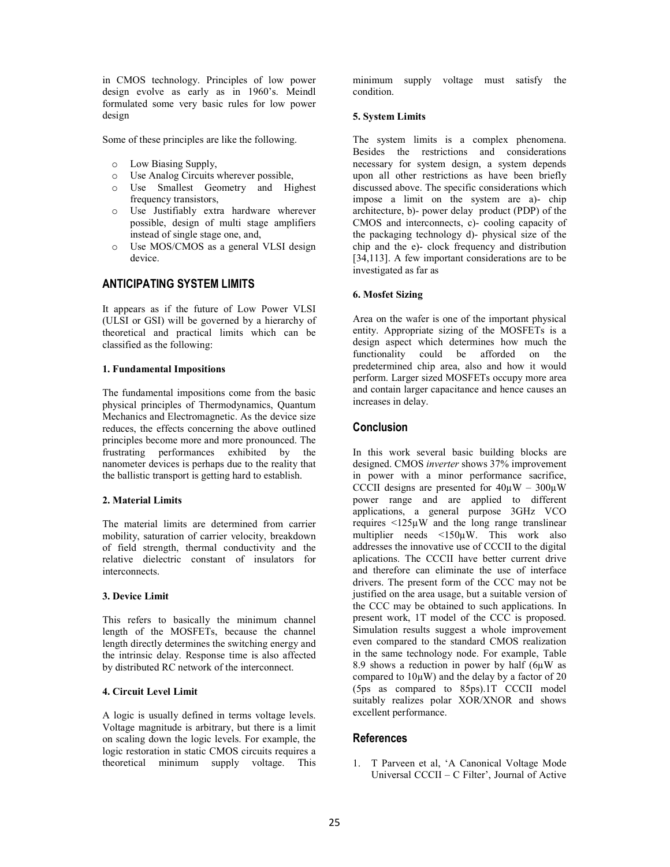in CMOS technology. Principles of low power design evolve as early as in 1960's. Meindl formulated some very basic rules for low power design

Some of these principles are like the following.

- o Low Biasing Supply,
- o Use Analog Circuits wherever possible,
- o Use Smallest Geometry and Highest frequency transistors,
- o Use Justifiably extra hardware wherever possible, design of multi stage amplifiers instead of single stage one, and,
- o Use MOS/CMOS as a general VLSI design device.

# **ANTICIPATING SYSTEM LIMITS**

It appears as if the future of Low Power VLSI (ULSI or GSI) will be governed by a hierarchy of theoretical and practical limits which can be classified as the following:

## **1. Fundamental Impositions**

The fundamental impositions come from the basic physical principles of Thermodynamics, Quantum Mechanics and Electromagnetic. As the device size reduces, the effects concerning the above outlined principles become more and more pronounced. The frustrating performances exhibited by the nanometer devices is perhaps due to the reality that the ballistic transport is getting hard to establish.

## **2. Material Limits**

The material limits are determined from carrier mobility, saturation of carrier velocity, breakdown of field strength, thermal conductivity and the relative dielectric constant of insulators for interconnects.

#### **3. Device Limit**

This refers to basically the minimum channel length of the MOSFETs, because the channel length directly determines the switching energy and the intrinsic delay. Response time is also affected by distributed RC network of the interconnect.

## **4. Circuit Level Limit**

A logic is usually defined in terms voltage levels. Voltage magnitude is arbitrary, but there is a limit on scaling down the logic levels. For example, the logic restoration in static CMOS circuits requires a theoretical minimum supply voltage. This

minimum supply voltage must satisfy the condition.

#### **5. System Limits**

The system limits is a complex phenomena. Besides the restrictions and considerations necessary for system design, a system depends upon all other restrictions as have been briefly discussed above. The specific considerations which impose a limit on the system are a)- chip architecture, b)- power delay product (PDP) of the CMOS and interconnects, c)- cooling capacity of the packaging technology d)- physical size of the chip and the e)- clock frequency and distribution [34,113]. A few important considerations are to be investigated as far as

#### **6. Mosfet Sizing**

Area on the wafer is one of the important physical entity. Appropriate sizing of the MOSFETs is a design aspect which determines how much the<br>functionality could be afforded on the be afforded on the predetermined chip area, also and how it would perform. Larger sized MOSFETs occupy more area and contain larger capacitance and hence causes an increases in delay.

# **Conclusion**

In this work several basic building blocks are designed. CMOS *inverter* shows 37% improvement in power with a minor performance sacrifice, CCCII designs are presented for  $40\mu$ W –  $300\mu$ W power range and are applied to different applications, a general purpose 3GHz VCO requires <125µW and the long range translinear multiplier needs <150µW. This work also addresses the innovative use of CCCII to the digital aplications. The CCCII have better current drive and therefore can eliminate the use of interface drivers. The present form of the CCC may not be justified on the area usage, but a suitable version of the CCC may be obtained to such applications. In present work, 1T model of the CCC is proposed. Simulation results suggest a whole improvement even compared to the standard CMOS realization in the same technology node. For example, Table 8.9 shows a reduction in power by half  $(6\mu W)$  as compared to 10µW) and the delay by a factor of 20 (5ps as compared to 85ps).1T CCCII model suitably realizes polar XOR/XNOR and shows excellent performance.

## **References**

1. T Parveen et al, 'A Canonical Voltage Mode Universal CCCII – C Filter', Journal of Active